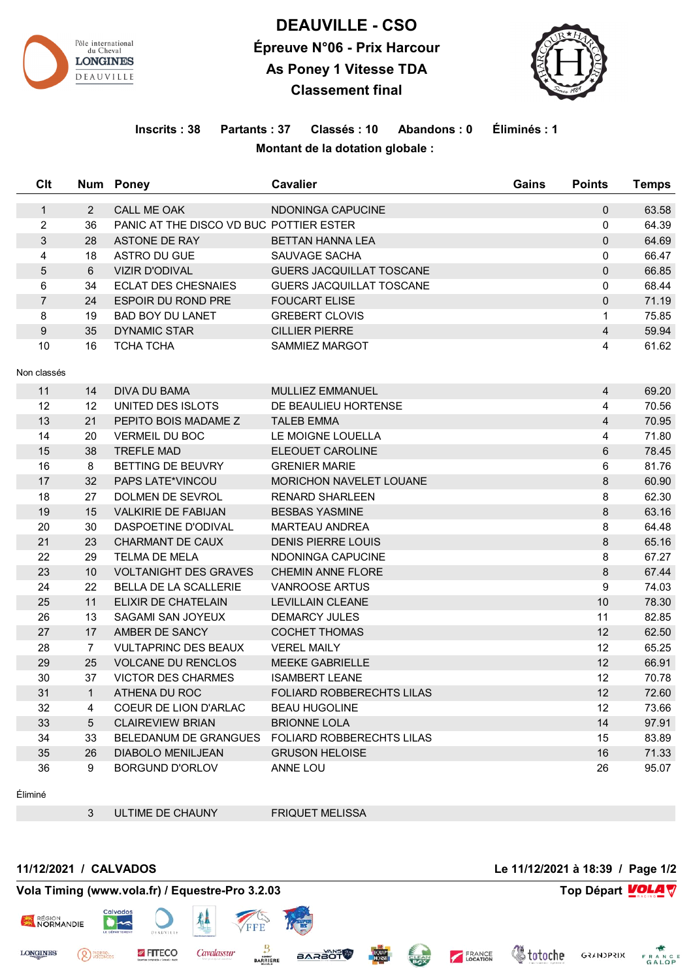

## **DEAUVILLE - CSO Épreuve N°06 - Prix Harcour As Poney 1 Vitesse TDA Classement final**



## **Inscrits : 38 Partants : 37 Classés : 10 Abandons : 0 Éliminés : 1 Montant de la dotation globale :**

| Clt            |                 | Num Poney                               | <b>Cavalier</b>                  | Gains | <b>Points</b>            | <b>Temps</b> |
|----------------|-----------------|-----------------------------------------|----------------------------------|-------|--------------------------|--------------|
| $\mathbf{1}$   | 2               | <b>CALL ME OAK</b>                      | NDONINGA CAPUCINE                |       | 0                        | 63.58        |
| $\overline{c}$ | 36              | PANIC AT THE DISCO VD BUC POTTIER ESTER |                                  |       | 0                        | 64.39        |
| 3              | 28              | ASTONE DE RAY                           | <b>BETTAN HANNA LEA</b>          |       | $\Omega$                 | 64.69        |
| $\overline{4}$ | 18              | ASTRO DU GUE                            | SAUVAGE SACHA                    |       | 0                        | 66.47        |
| 5              | 6               | <b>VIZIR D'ODIVAL</b>                   | <b>GUERS JACQUILLAT TOSCANE</b>  |       | $\overline{0}$           | 66.85        |
| 6              | 34              | <b>ECLAT DES CHESNAIES</b>              | <b>GUERS JACQUILLAT TOSCANE</b>  |       | 0                        | 68.44        |
| $\overline{7}$ | 24              | <b>ESPOIR DU ROND PRE</b>               | <b>FOUCART ELISE</b>             |       | $\Omega$                 | 71.19        |
| 8              | 19              | <b>BAD BOY DU LANET</b>                 | <b>GREBERT CLOVIS</b>            |       | $\mathbf{1}$             | 75.85        |
| 9              | 35              | <b>DYNAMIC STAR</b>                     | <b>CILLIER PIERRE</b>            |       | $\overline{\mathbf{4}}$  | 59.94        |
| 10             | 16              | <b>TCHA TCHA</b>                        | <b>SAMMIEZ MARGOT</b>            |       | $\overline{4}$           | 61.62        |
|                |                 |                                         |                                  |       |                          |              |
| Non classés    |                 |                                         |                                  |       |                          |              |
| 11             | 14              | <b>DIVA DU BAMA</b>                     | MULLIEZ EMMANUEL                 |       | $\overline{\mathcal{A}}$ | 69.20        |
| 12             | 12              | UNITED DES ISLOTS                       | DE BEAULIEU HORTENSE             |       | 4                        | 70.56        |
| 13             | 21              | PEPITO BOIS MADAME Z                    | <b>TALEB EMMA</b>                |       | $\overline{\mathbf{4}}$  | 70.95        |
| 14             | 20              | <b>VERMEIL DU BOC</b>                   | LE MOIGNE LOUELLA                |       | 4                        | 71.80        |
| 15             | 38              | <b>TREFLE MAD</b>                       | ELEOUET CAROLINE                 |       | 6                        | 78.45        |
| 16             | 8               | BETTING DE BEUVRY                       | <b>GRENIER MARIE</b>             |       | 6                        | 81.76        |
| 17             | 32              | PAPS LATE*VINCOU                        | <b>MORICHON NAVELET LOUANE</b>   |       | 8                        | 60.90        |
| 18             | 27              | DOLMEN DE SEVROL                        | <b>RENARD SHARLEEN</b>           |       | 8                        | 62.30        |
| 19             | 15              | <b>VALKIRIE DE FABIJAN</b>              | <b>BESBAS YASMINE</b>            |       | 8                        | 63.16        |
| 20             | 30              | DASPOETINE D'ODIVAL                     | <b>MARTEAU ANDREA</b>            |       | 8                        | 64.48        |
| 21             | 23              | <b>CHARMANT DE CAUX</b>                 | <b>DENIS PIERRE LOUIS</b>        |       | 8                        | 65.16        |
| 22             | 29              | TELMA DE MELA                           | NDONINGA CAPUCINE                |       | 8                        | 67.27        |
| 23             | 10              | <b>VOLTANIGHT DES GRAVES</b>            | <b>CHEMIN ANNE FLORE</b>         |       | 8                        | 67.44        |
| 24             | 22              | BELLA DE LA SCALLERIE                   | <b>VANROOSE ARTUS</b>            |       | $\boldsymbol{9}$         | 74.03        |
| 25             | 11              | ELIXIR DE CHATELAIN                     | <b>LEVILLAIN CLEANE</b>          |       | 10                       | 78.30        |
| 26             | 13              | SAGAMI SAN JOYEUX                       | <b>DEMARCY JULES</b>             |       | 11                       | 82.85        |
| 27             | 17              | AMBER DE SANCY                          | <b>COCHET THOMAS</b>             |       | 12                       | 62.50        |
| 28             | $\overline{7}$  | <b>VULTAPRINC DES BEAUX</b>             | <b>VEREL MAILY</b>               |       | 12                       | 65.25        |
| 29             | 25              | <b>VOLCANE DU RENCLOS</b>               | <b>MEEKE GABRIELLE</b>           |       | 12                       | 66.91        |
| 30             | 37              | <b>VICTOR DES CHARMES</b>               | <b>ISAMBERT LEANE</b>            |       | 12                       | 70.78        |
| 31             | $\mathbf{1}$    | ATHENA DU ROC                           | <b>FOLIARD ROBBERECHTS LILAS</b> |       | 12                       | 72.60        |
| 32             | 4               | COEUR DE LION D'ARLAC                   | <b>BEAU HUGOLINE</b>             |       | 12                       | 73.66        |
| 33             | $5\phantom{.0}$ | <b>CLAIREVIEW BRIAN</b>                 | <b>BRIONNE LOLA</b>              |       | 14                       | 97.91        |
| 34             | 33              | BELEDANUM DE GRANGUES                   | <b>FOLIARD ROBBERECHTS LILAS</b> |       | 15                       | 83.89        |
| 35             | 26              | <b>DIABOLO MENILJEAN</b>                | <b>GRUSON HELOISE</b>            |       | 16                       | 71.33        |
| 36             | 9               | <b>BORGUND D'ORLOV</b>                  | ANNE LOU                         |       | 26                       | 95.07        |

Éliminé

ULTIME DE CHAUNY FRIQUET MELISSA

**BARAOT** 

**BARRIERE** 

## **11/12/2021 / CALVADOS Le 11/12/2021 à 18:39 / Page 1/2**

<sup>PIERRE</sup>

*Childrene* 

FRANCE

**GRANDPRIX** FRANCE

## **Vola Timing (www.vola.fr) / Equestre-Pro 3.2.03 Top Départ VOLA**